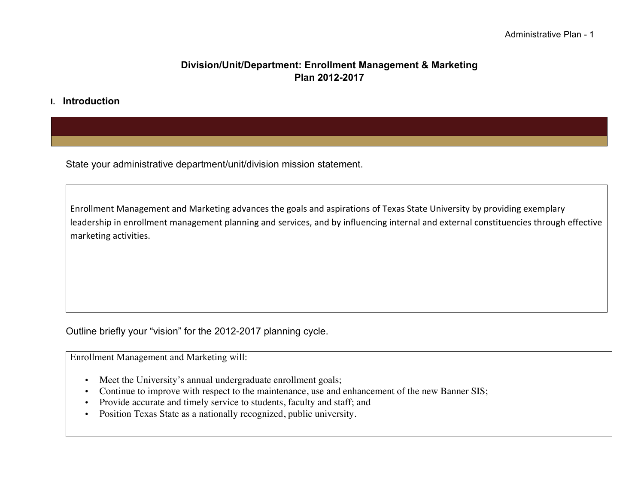### **Division/Unit/Department: Enrollment Management & Marketing Plan 2012-2017**

#### **I. Introduction**

State your administrative department/unit/division mission statement.

Enrollment Management and Marketing advances the goals and aspirations of Texas State University by providing exemplary leadership in enrollment management planning and services, and by influencing internal and external constituencies through effective marketing activities.

Outline briefly your "vision" for the 2012-2017 planning cycle.

Enrollment Management and Marketing will:

- Meet the University's annual undergraduate enrollment goals;
- Continue to improve with respect to the maintenance, use and enhancement of the new Banner SIS;
- Provide accurate and timely service to students, faculty and staff; and
- Position Texas State as a nationally recognized, public university.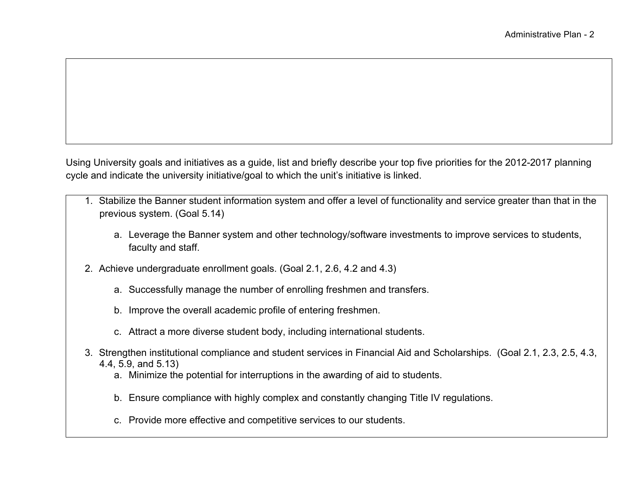Using University goals and initiatives as a guide, list and briefly describe your top five priorities for the 2012-2017 planning cycle and indicate the university initiative/goal to which the unit's initiative is linked.

- 1. Stabilize the Banner student information system and offer a level of functionality and service greater than that in the previous system. (Goal 5.14)
	- a. Leverage the Banner system and other technology/software investments to improve services to students, faculty and staff.
- 2. Achieve undergraduate enrollment goals. (Goal 2.1, 2.6, 4.2 and 4.3)
	- a. Successfully manage the number of enrolling freshmen and transfers.
	- b. Improve the overall academic profile of entering freshmen.
	- c. Attract a more diverse student body, including international students.
- 3. Strengthen institutional compliance and student services in Financial Aid and Scholarships. (Goal 2.1, 2.3, 2.5, 4.3, 4.4, 5.9, and 5.13)
	- a. Minimize the potential for interruptions in the awarding of aid to students.
	- b. Ensure compliance with highly complex and constantly changing Title IV regulations.
	- c. Provide more effective and competitive services to our students.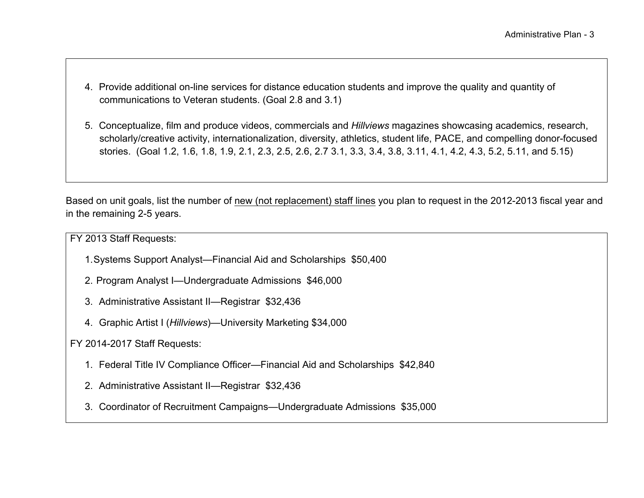- 4. Provide additional on-line services for distance education students and improve the quality and quantity of communications to Veteran students. (Goal 2.8 and 3.1)
- 5. Conceptualize, film and produce videos, commercials and *Hillviews* magazines showcasing academics, research, scholarly/creative activity, internationalization, diversity, athletics, student life, PACE, and compelling donor-focused stories. (Goal 1.2, 1.6, 1.8, 1.9, 2.1, 2.3, 2.5, 2.6, 2.7 3.1, 3.3, 3.4, 3.8, 3.11, 4.1, 4.2, 4.3, 5.2, 5.11, and 5.15)

Based on unit goals, list the number of new (not replacement) staff lines you plan to request in the 2012-2013 fiscal year and in the remaining 2-5 years.

FY 2013 Staff Requests:

- 1.Systems Support Analyst—Financial Aid and Scholarships \$50,400
- 2. Program Analyst I—Undergraduate Admissions \$46,000
- 3. Administrative Assistant II—Registrar \$32,436
- 4. Graphic Artist I (*Hillviews*)—University Marketing \$34,000

FY 2014-2017 Staff Requests:

- 1. Federal Title IV Compliance Officer—Financial Aid and Scholarships \$42,840
- 2. Administrative Assistant II—Registrar \$32,436
- 3. Coordinator of Recruitment Campaigns—Undergraduate Admissions \$35,000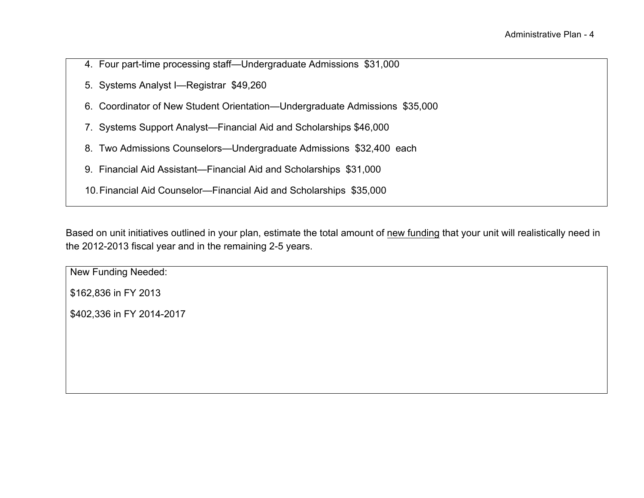- 4. Four part-time processing staff—Undergraduate Admissions \$31,000
- 5. Systems Analyst I—Registrar \$49,260
- 6. Coordinator of New Student Orientation—Undergraduate Admissions \$35,000
- 7. Systems Support Analyst—Financial Aid and Scholarships \$46,000
- 8. Two Admissions Counselors—Undergraduate Admissions \$32,400 each
- 9. Financial Aid Assistant—Financial Aid and Scholarships \$31,000
- 10.Financial Aid Counselor—Financial Aid and Scholarships \$35,000

Based on unit initiatives outlined in your plan, estimate the total amount of new funding that your unit will realistically need in the 2012-2013 fiscal year and in the remaining 2-5 years.

New Funding Needed: \$162,836 in FY 2013 \$402,336 in FY 2014-2017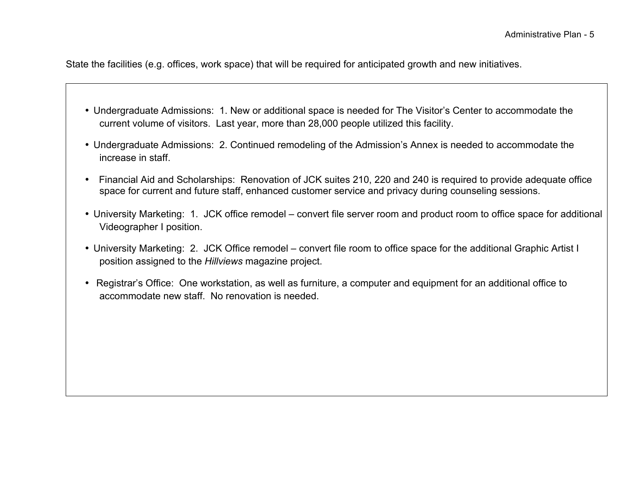State the facilities (e.g. offices, work space) that will be required for anticipated growth and new initiatives.

- Undergraduate Admissions: 1. New or additional space is needed for The Visitor's Center to accommodate the current volume of visitors. Last year, more than 28,000 people utilized this facility.
- Undergraduate Admissions: 2. Continued remodeling of the Admission's Annex is needed to accommodate the increase in staff.
- Financial Aid and Scholarships: Renovation of JCK suites 210, 220 and 240 is required to provide adequate office space for current and future staff, enhanced customer service and privacy during counseling sessions.
- University Marketing: 1. JCK office remodel convert file server room and product room to office space for additional Videographer I position.
- University Marketing: 2. JCK Office remodel convert file room to office space for the additional Graphic Artist I position assigned to the *Hillviews* magazine project.
- Registrar's Office: One workstation, as well as furniture, a computer and equipment for an additional office to accommodate new staff. No renovation is needed.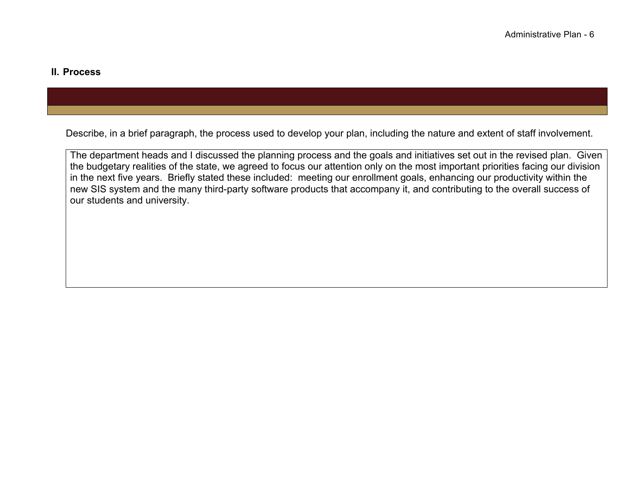#### **II. Process**

Describe, in a brief paragraph, the process used to develop your plan, including the nature and extent of staff involvement.

The department heads and I discussed the planning process and the goals and initiatives set out in the revised plan. Given the budgetary realities of the state, we agreed to focus our attention only on the most important priorities facing our division in the next five years. Briefly stated these included: meeting our enrollment goals, enhancing our productivity within the new SIS system and the many third-party software products that accompany it, and contributing to the overall success of our students and university.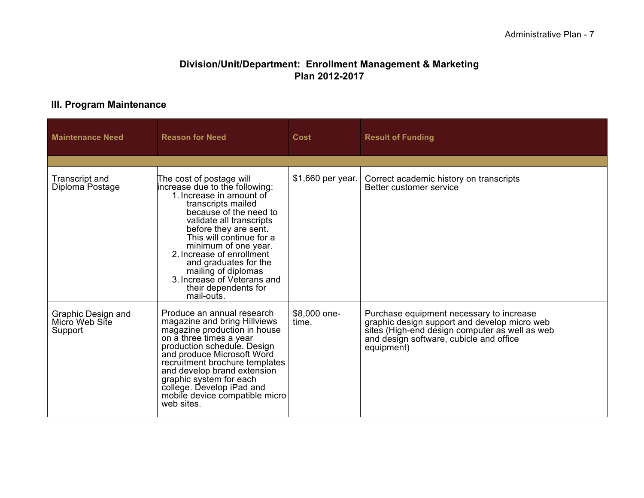### **Division/Unit/Department: Enrollment Management & Marketing Plan 2012-2017**

# **III. Program Maintenance**

| <b>Maintenance Need</b>                         | <b>Reason for Need</b>                                                                                                                                                                                                                                                                                                                                                                            | Cost                  | <b>Result of Funding</b>                                                                                                                                                                            |
|-------------------------------------------------|---------------------------------------------------------------------------------------------------------------------------------------------------------------------------------------------------------------------------------------------------------------------------------------------------------------------------------------------------------------------------------------------------|-----------------------|-----------------------------------------------------------------------------------------------------------------------------------------------------------------------------------------------------|
| <b>Transcript and</b><br>Diploma Postage        | The cost of postage will<br>increase due to the following:<br>1. Increase in amount of<br>transcripts mailed<br>because of the need to<br>validate all transcripts<br>before they are sent.<br>This will continue for a<br>minimum of one year.<br>2. Increase of enrollment<br>and graduates for the<br>mailing of diplomas<br>3. Increase of Veterans and<br>their dependents for<br>mail-outs. | $$1,660$ per year.    | Correct academic history on transcripts<br>Better customer service                                                                                                                                  |
| Graphic Design and<br>Micro Web Site<br>Support | Produce an annual research<br>magazine and bring Hillviews<br>magazine production in house<br>on a three times a year<br>production schedule. Design<br>and produce Microsoft Word<br>recruitment brochure templates<br>and develop brand extension<br>graphic system for each<br>college. Develop iPad and<br>mobile device compatible micro<br>web sites.                                       | \$8,000 one-<br>time. | Purchase equipment necessary to increase<br>graphic design support and develop micro web<br>sites (High-end design computer as well as web<br>and design software, cubicle and office<br>equipment) |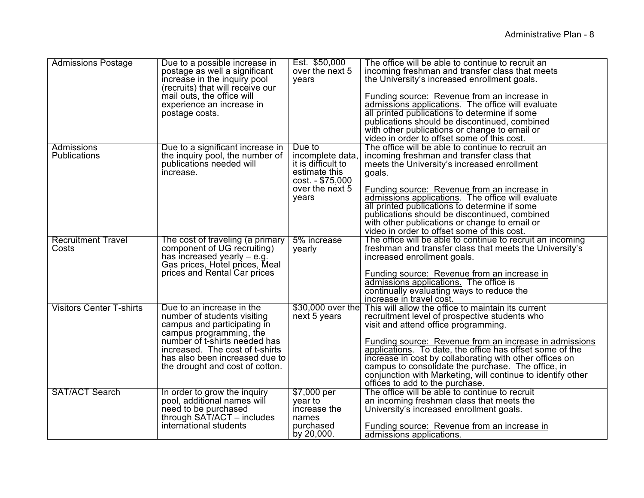| <b>Admissions Postage</b>                | Due to a possible increase in<br>postage as well a significant<br>increase in the inquiry pool<br>(recruits) that will receive our<br>mail outs, the office will<br>experience an increase in<br>postage costs.                                             | Est. \$50,000<br>over the next 5<br>vears                                                                         | The office will be able to continue to recruit an<br>incoming freshman and transfer class that meets<br>the University's increased enrollment goals.<br>Funding source: Revenue from an increase in<br>admissions applications. The office will evaluate<br>all printed publications to determine if some<br>publications should be discontinued, combined<br>with other publications or change to email or<br>video in order to offset some of this cost.                           |
|------------------------------------------|-------------------------------------------------------------------------------------------------------------------------------------------------------------------------------------------------------------------------------------------------------------|-------------------------------------------------------------------------------------------------------------------|--------------------------------------------------------------------------------------------------------------------------------------------------------------------------------------------------------------------------------------------------------------------------------------------------------------------------------------------------------------------------------------------------------------------------------------------------------------------------------------|
| <b>Admissions</b><br><b>Publications</b> | Due to a significant increase in<br>the inquiry pool, the number of<br>publications needed will<br>increase.                                                                                                                                                | Due to<br>incomplete data,<br>it is difficult to<br>estimate this<br>cost. - \$75,000<br>over the next 5<br>years | The office will be able to continue to recruit an<br>incoming freshman and transfer class that<br>meets the University's increased enrollment<br>goals.<br>Funding source: Revenue from an increase in<br>admissions applications. The office will evaluate<br>all printed publications to determine if some<br>publications should be discontinued, combined<br>with other publications or change to email or<br>video in order to offset some of this cost.                        |
| <b>Recruitment Travel</b><br>Costs       | The cost of traveling (a primary<br>component of UG recruiting)<br>has increased yearly - e.g.<br>Gas prices, Hotel prices, Meal<br>prices and Rental Car prices                                                                                            | 5% increase<br>yearly                                                                                             | The office will be able to continue to recruit an incoming<br>freshman and transfer class that meets the University's<br>increased enrollment goals.<br>Funding source: Revenue from an increase in<br>admissions applications. The office is<br>continually evaluating ways to reduce the<br>increase in travel cost.                                                                                                                                                               |
| <b>Visitors Center T-shirts</b>          | Due to an increase in the<br>number of students visiting<br>campus and participating in<br>campus programming, the<br>number of t-shirts needed has<br>increased. The cost of t-shirts<br>has also been increased due to<br>the drought and cost of cotton. | \$30,000 over the<br>next 5 years                                                                                 | This will allow the office to maintain its current<br>recruitment level of prospective students who<br>visit and attend office programming.<br>Funding source: Revenue from an increase in admissions<br>applications. To date, the office has offset some of the<br>increase in cost by collaborating with other offices on<br>campus to consolidate the purchase. The office, in<br>conjunction with Marketing, will continue to identify other<br>offices to add to the purchase. |
| <b>SAT/ACT Search</b>                    | In order to grow the inquiry<br>pool, additional names will<br>need to be purchased<br>through SAT/ACT – includes<br>international students                                                                                                                 | \$7,000 per<br>year to<br>increase the<br>names<br>purchased<br>by 20,000.                                        | The office will be able to continue to recruit<br>an incoming freshman class that meets the<br>University's increased enrollment goals.<br>Funding source: Revenue from an increase in<br>admissions applications.                                                                                                                                                                                                                                                                   |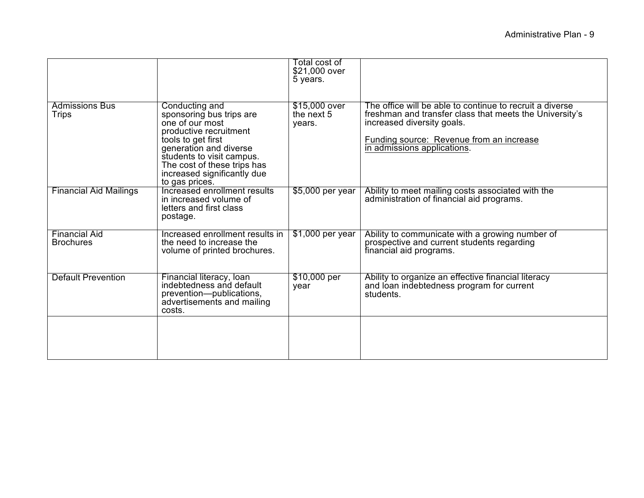|                                          |                                                                                                                                                                                                                                                      | Total cost of<br>\$21,000 over<br>5 years. |                                                                                                                                                                                                                              |
|------------------------------------------|------------------------------------------------------------------------------------------------------------------------------------------------------------------------------------------------------------------------------------------------------|--------------------------------------------|------------------------------------------------------------------------------------------------------------------------------------------------------------------------------------------------------------------------------|
| <b>Admissions Bus</b><br><b>Trips</b>    | Conducting and<br>sponsoring bus trips are<br>one of our most<br>productive recruitment<br>tools to get first<br>generation and diverse<br>students to visit campus.<br>The cost of these trips has<br>increased significantly due<br>to gas prices. | \$15,000 over<br>the next 5<br>years.      | The office will be able to continue to recruit a diverse<br>freshman and transfer class that meets the University's<br>increased diversity goals.<br>Funding source: Revenue from an increase<br>in admissions applications. |
| <b>Financial Aid Mailings</b>            | Increased enrollment results<br>in increased volume of<br>letters and first class<br>postage.                                                                                                                                                        | $$5,000$ per year                          | Ability to meet mailing costs associated with the<br>administration of financial aid programs.                                                                                                                               |
| <b>Financial Aid</b><br><b>Brochures</b> | Increased enrollment results in<br>the need to increase the<br>volume of printed brochures.                                                                                                                                                          | $$1,000$ per year                          | Ability to communicate with a growing number of<br>prospective and current students regarding<br>financial aid programs.                                                                                                     |
| <b>Default Prevention</b>                | Financial literacy, loan<br>indebtedness and default<br>prevention-publications,<br>advertisements and mailing<br>costs.                                                                                                                             | $$10,000$ per<br>year                      | Ability to organize an effective financial literacy<br>and loan indebtedness program for current<br>students.                                                                                                                |
|                                          |                                                                                                                                                                                                                                                      |                                            |                                                                                                                                                                                                                              |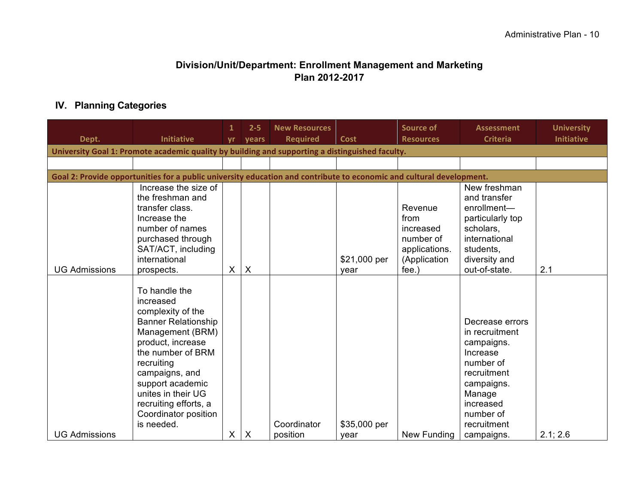## **Division/Unit/Department: Enrollment Management and Marketing Plan 2012-2017**

# **IV. Planning Categories**

| <b>Initiative</b><br>Dept.                                                                                                                                                                                                                                                                                   | vr | years                     | <b>Required</b>         | <b>Cost</b>                                                                                     | <b>Resources</b>                                                                   | <b>Criteria</b>                                                                                                                                                        | <b>Initiative</b> |  |  |  |  |  |  |  |
|--------------------------------------------------------------------------------------------------------------------------------------------------------------------------------------------------------------------------------------------------------------------------------------------------------------|----|---------------------------|-------------------------|-------------------------------------------------------------------------------------------------|------------------------------------------------------------------------------------|------------------------------------------------------------------------------------------------------------------------------------------------------------------------|-------------------|--|--|--|--|--|--|--|
|                                                                                                                                                                                                                                                                                                              |    |                           |                         |                                                                                                 |                                                                                    |                                                                                                                                                                        |                   |  |  |  |  |  |  |  |
|                                                                                                                                                                                                                                                                                                              |    |                           |                         | University Goal 1: Promote academic quality by building and supporting a distinguished faculty. |                                                                                    |                                                                                                                                                                        |                   |  |  |  |  |  |  |  |
|                                                                                                                                                                                                                                                                                                              |    |                           |                         |                                                                                                 |                                                                                    |                                                                                                                                                                        |                   |  |  |  |  |  |  |  |
| Goal 2: Provide opportunities for a public university education and contribute to economic and cultural development.                                                                                                                                                                                         |    |                           |                         |                                                                                                 |                                                                                    |                                                                                                                                                                        |                   |  |  |  |  |  |  |  |
| Increase the size of<br>the freshman and<br>transfer class.<br>Increase the<br>number of names<br>purchased through<br>SAT/ACT, including<br>international<br><b>UG Admissions</b><br>prospects.                                                                                                             | X  | $\boldsymbol{\mathsf{X}}$ |                         | \$21,000 per<br>year                                                                            | Revenue<br>from<br>increased<br>number of<br>applications.<br>(Application<br>fee. | New freshman<br>and transfer<br>enrollment-<br>particularly top<br>scholars,<br>international<br>students.<br>diversity and<br>out-of-state.                           | 2.1               |  |  |  |  |  |  |  |
| To handle the<br>increased<br>complexity of the<br><b>Banner Relationship</b><br>Management (BRM)<br>product, increase<br>the number of BRM<br>recruiting<br>campaigns, and<br>support academic<br>unites in their UG<br>recruiting efforts, a<br>Coordinator position<br>is needed.<br><b>UG Admissions</b> | X  | $\boldsymbol{\mathsf{X}}$ | Coordinator<br>position | \$35,000 per<br>year                                                                            | New Funding                                                                        | Decrease errors<br>in recruitment<br>campaigns.<br>Increase<br>number of<br>recruitment<br>campaigns.<br>Manage<br>increased<br>number of<br>recruitment<br>campaigns. | 2.1; 2.6          |  |  |  |  |  |  |  |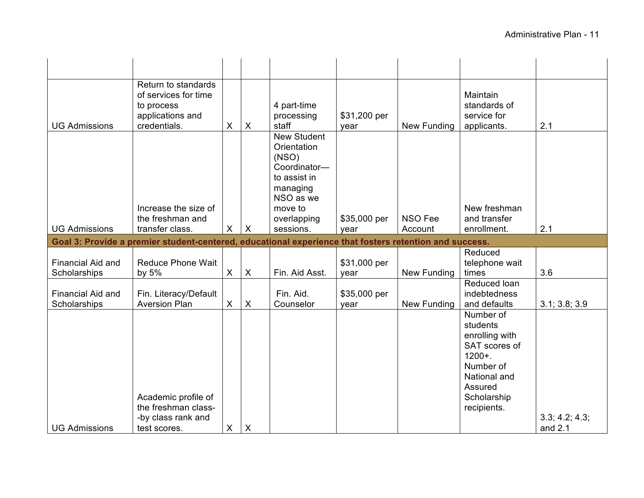|                          | Return to standards                                                                                    |                           |          |                       |                      |                |                            |                |
|--------------------------|--------------------------------------------------------------------------------------------------------|---------------------------|----------|-----------------------|----------------------|----------------|----------------------------|----------------|
|                          | of services for time                                                                                   |                           |          |                       |                      |                | Maintain                   |                |
|                          | to process                                                                                             |                           |          | 4 part-time           |                      |                | standards of               |                |
| <b>UG Admissions</b>     | applications and<br>credentials.                                                                       | X                         | X        | processing<br>staff   | \$31,200 per<br>year | New Funding    | service for<br>applicants. | 2.1            |
|                          |                                                                                                        |                           |          | <b>New Student</b>    |                      |                |                            |                |
|                          |                                                                                                        |                           |          | Orientation           |                      |                |                            |                |
|                          |                                                                                                        |                           |          | (NSO)                 |                      |                |                            |                |
|                          |                                                                                                        |                           |          | Coordinator-          |                      |                |                            |                |
|                          |                                                                                                        |                           |          | to assist in          |                      |                |                            |                |
|                          |                                                                                                        |                           |          | managing<br>NSO as we |                      |                |                            |                |
|                          | Increase the size of                                                                                   |                           |          | move to               |                      |                | New freshman               |                |
|                          | the freshman and                                                                                       |                           |          | overlapping           | \$35,000 per         | <b>NSO Fee</b> | and transfer               |                |
| <b>UG Admissions</b>     | transfer class.                                                                                        | $\times$                  | X        | sessions.             | vear                 | Account        | enrollment.                | 2.1            |
|                          | Goal 3: Provide a premier student-centered, educational experience that fosters retention and success. |                           |          |                       |                      |                |                            |                |
|                          |                                                                                                        |                           |          |                       |                      |                | Reduced                    |                |
| Financial Aid and        | <b>Reduce Phone Wait</b>                                                                               | $\boldsymbol{\mathsf{X}}$ |          |                       | \$31,000 per         |                | telephone wait             |                |
| Scholarships             | by $5%$                                                                                                |                           | X        | Fin. Aid Asst.        | year                 | New Funding    | times<br>Reduced loan      | 3.6            |
| <b>Financial Aid and</b> | Fin. Literacy/Default                                                                                  |                           |          | Fin. Aid.             | \$35,000 per         |                | <b>indebtedness</b>        |                |
| Scholarships             | <b>Aversion Plan</b>                                                                                   | X                         | X        | Counselor             | year                 | New Funding    | and defaults               | 3.1; 3.8; 3.9  |
|                          |                                                                                                        |                           |          |                       |                      |                | Number of                  |                |
|                          |                                                                                                        |                           |          |                       |                      |                | students                   |                |
|                          |                                                                                                        |                           |          |                       |                      |                | enrolling with             |                |
|                          |                                                                                                        |                           |          |                       |                      |                | SAT scores of              |                |
|                          |                                                                                                        |                           |          |                       |                      |                | $1200+$ .<br>Number of     |                |
|                          |                                                                                                        |                           |          |                       |                      |                | National and               |                |
|                          |                                                                                                        |                           |          |                       |                      |                | Assured                    |                |
|                          | Academic profile of                                                                                    |                           |          |                       |                      |                | Scholarship                |                |
|                          | the freshman class-                                                                                    |                           |          |                       |                      |                | recipients.                |                |
|                          | -by class rank and                                                                                     |                           |          |                       |                      |                |                            | 3.3; 4.2; 4.3; |
| <b>UG Admissions</b>     | test scores.                                                                                           | X                         | $\times$ |                       |                      |                |                            | and 2.1        |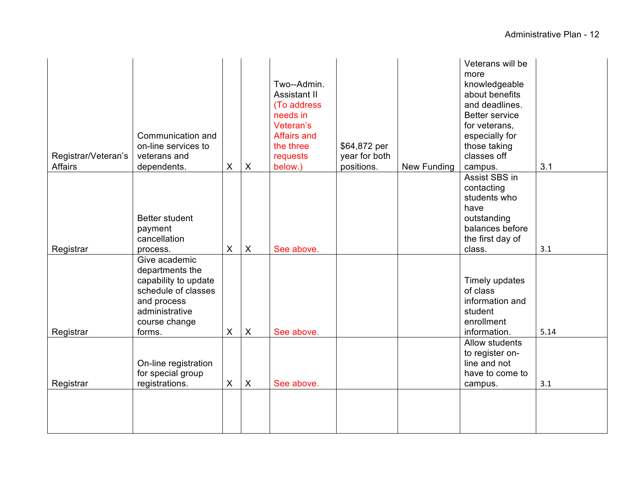| Registrar/Veteran's<br>Affairs | Communication and<br>on-line services to<br>veterans and<br>dependents.                                                                     | X              | X                         | Two--Admin.<br>Assistant II<br>(To address<br>needs in<br>Veteran's<br><b>Affairs and</b><br>the three<br>requests<br>below.) | \$64,872 per<br>year for both<br>positions. | New Funding | Veterans will be<br>more<br>knowledgeable<br>about benefits<br>and deadlines.<br><b>Better service</b><br>for veterans,<br>especially for<br>those taking<br>classes off<br>campus. | 3.1  |
|--------------------------------|---------------------------------------------------------------------------------------------------------------------------------------------|----------------|---------------------------|-------------------------------------------------------------------------------------------------------------------------------|---------------------------------------------|-------------|-------------------------------------------------------------------------------------------------------------------------------------------------------------------------------------|------|
| Registrar                      | Better student<br>payment<br>cancellation<br>process.                                                                                       | $\pmb{\times}$ | $\boldsymbol{\mathsf{X}}$ | See above.                                                                                                                    |                                             |             | Assist SBS in<br>contacting<br>students who<br>have<br>outstanding<br>balances before<br>the first day of<br>class.                                                                 | 3.1  |
| Registrar                      | Give academic<br>departments the<br>capability to update<br>schedule of classes<br>and process<br>administrative<br>course change<br>forms. | $\mathsf X$    | $\pmb{\times}$            | See above.                                                                                                                    |                                             |             | Timely updates<br>of class<br>information and<br>student<br>enrollment<br>information.                                                                                              | 5.14 |
| Registrar                      | On-line registration<br>for special group<br>registrations.                                                                                 | $\pmb{\times}$ | $\boldsymbol{X}$          | See above.                                                                                                                    |                                             |             | Allow students<br>to register on-<br>line and not<br>have to come to<br>campus.                                                                                                     | 3.1  |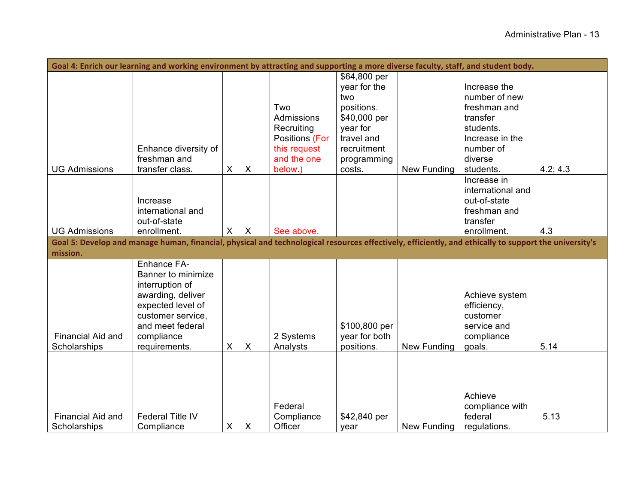|                                                      | Goal 4: Enrich our learning and working environment by attracting and supporting a more diverse faculty, staff, and student body.                                                                                     |   |   |                                                                                             |                                                                                                                                     |             |                                                                                                                                |          |  |
|------------------------------------------------------|-----------------------------------------------------------------------------------------------------------------------------------------------------------------------------------------------------------------------|---|---|---------------------------------------------------------------------------------------------|-------------------------------------------------------------------------------------------------------------------------------------|-------------|--------------------------------------------------------------------------------------------------------------------------------|----------|--|
| <b>UG Admissions</b>                                 | Enhance diversity of<br>freshman and<br>transfer class.                                                                                                                                                               | X | X | Two<br>Admissions<br>Recruiting<br>Positions (For<br>this request<br>and the one<br>below.) | \$64,800 per<br>year for the<br>two<br>positions.<br>\$40,000 per<br>year for<br>travel and<br>recruitment<br>programming<br>costs. | New Funding | Increase the<br>number of new<br>freshman and<br>transfer<br>students.<br>Increase in the<br>number of<br>diverse<br>students. | 4.2; 4.3 |  |
| <b>UG Admissions</b>                                 | Increase<br>international and<br>out-of-state<br>enrollment.<br>Goal 5: Develop and manage human, financial, physical and technological resources effectively, efficiently, and ethically to support the university's | X | X | See above.                                                                                  |                                                                                                                                     |             | Increase in<br>international and<br>out-of-state<br>freshman and<br>transfer<br>enrollment.                                    | 4.3      |  |
| mission.<br><b>Financial Aid and</b><br>Scholarships | Enhance FA-<br>Banner to minimize<br>interruption of<br>awarding, deliver<br>expected level of<br>customer service,<br>and meet federal<br>compliance<br>requirements.                                                | X | X | 2 Systems<br>Analysts                                                                       | \$100,800 per<br>year for both<br>positions.                                                                                        | New Funding | Achieve system<br>efficiency,<br>customer<br>service and<br>compliance<br>goals.                                               | 5.14     |  |
| <b>Financial Aid and</b><br>Scholarships             | <b>Federal Title IV</b><br>Compliance                                                                                                                                                                                 | X | X | Federal<br>Compliance<br>Officer                                                            | \$42,840 per<br>year                                                                                                                | New Funding | Achieve<br>compliance with<br>federal<br>regulations.                                                                          | 5.13     |  |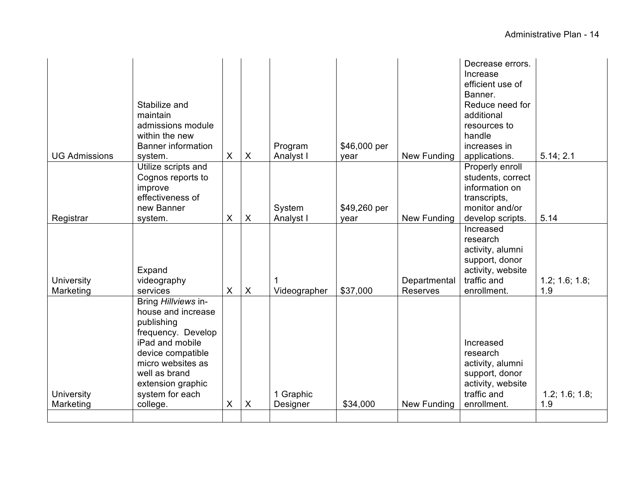|                                | Stabilize and<br>maintain<br>admissions module<br>within the new                                                                                                                                                |   |                           |                       |                      |                                 | Decrease errors.<br>Increase<br>efficient use of<br>Banner.<br>Reduce need for<br>additional<br>resources to<br>handle |                       |
|--------------------------------|-----------------------------------------------------------------------------------------------------------------------------------------------------------------------------------------------------------------|---|---------------------------|-----------------------|----------------------|---------------------------------|------------------------------------------------------------------------------------------------------------------------|-----------------------|
| <b>UG Admissions</b>           | <b>Banner information</b><br>system.                                                                                                                                                                            | X | X                         | Program<br>Analyst I  | \$46,000 per<br>year | New Funding                     | increases in<br>applications.                                                                                          | 5.14; 2.1             |
|                                | Utilize scripts and<br>Cognos reports to<br>improve<br>effectiveness of<br>new Banner                                                                                                                           |   |                           | System                | \$49,260 per         |                                 | Properly enroll<br>students, correct<br>information on<br>transcripts,<br>monitor and/or                               |                       |
| Registrar                      | system.                                                                                                                                                                                                         | X | $\sf X$                   | Analyst I             | year                 | New Funding                     | develop scripts.                                                                                                       | 5.14                  |
| University<br>Marketing        | Expand<br>videography<br>services                                                                                                                                                                               | X | $\boldsymbol{\mathsf{X}}$ | Videographer          | \$37,000             | Departmental<br><b>Reserves</b> | Increased<br>research<br>activity, alumni<br>support, donor<br>activity, website<br>traffic and<br>enrollment.         | 1.2; 1.6; 1.8;<br>1.9 |
| <b>University</b><br>Marketing | Bring Hillviews in-<br>house and increase<br>publishing<br>frequency. Develop<br>iPad and mobile<br>device compatible<br>micro websites as<br>well as brand<br>extension graphic<br>system for each<br>college. | X | $\boldsymbol{\mathsf{X}}$ | 1 Graphic<br>Designer | \$34,000             | New Funding                     | Increased<br>research<br>activity, alumni<br>support, donor<br>activity, website<br>traffic and<br>enrollment.         | 1.2; 1.6; 1.8;<br>1.9 |